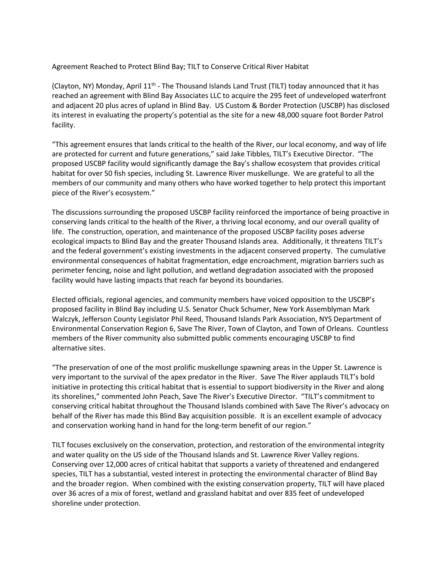Agreement Reached to Protect Blind Bay; TILT to Conserve Critical River Habitat

(Clayton, NY) Monday, April 11<sup>th</sup> - The Thousand Islands Land Trust (TILT) today announced that it has reached an agreement with Blind Bay Associates LLC to acquire the 295 feet of undeveloped waterfront and adjacent 20 plus acres of upland in Blind Bay. US Custom & Border Protection (USCBP) has disclosed its interest in evaluating the property's potential as the site for a new 48,000 square foot Border Patrol facility.

"This agreement ensures that lands critical to the health of the River, our local economy, and way of life are protected for current and future generations," said Jake Tibbles, TILT's Executive Director. "The proposed USCBP facility would significantly damage the Bay's shallow ecosystem that provides critical habitat for over 50 fish species, including St. Lawrence River muskellunge. We are grateful to all the members of our community and many others who have worked together to help protect this important piece of the River's ecosystem."

The discussions surrounding the proposed USCBP facility reinforced the importance of being proactive in conserving lands critical to the health of the River, a thriving local economy, and our overall quality of life. The construction, operation, and maintenance of the proposed USCBP facility poses adverse ecological impacts to Blind Bay and the greater Thousand Islands area. Additionally, it threatens TILT's and the federal government's existing investments in the adjacent conserved property. The cumulative environmental consequences of habitat fragmentation, edge encroachment, migration barriers such as perimeter fencing, noise and light pollution, and wetland degradation associated with the proposed facility would have lasting impacts that reach far beyond its boundaries.

Elected officials, regional agencies, and community members have voiced opposition to the USCBP's proposed facility in Blind Bay including U.S. Senator Chuck Schumer, New York Assemblyman Mark Walczyk, Jefferson County Legislator Phil Reed, Thousand Islands Park Association, NYS Department of Environmental Conservation Region 6, Save The River, Town of Clayton, and Town of Orleans. Countless members of the River community also submitted public comments encouraging USCBP to find alternative sites.

"The preservation of one of the most prolific muskellunge spawning areas in the Upper St. Lawrence is very important to the survival of the apex predator in the River. Save The River applauds TILT's bold initiative in protecting this critical habitat that is essential to support biodiversity in the River and along its shorelines," commented John Peach, Save The River's Executive Director. "TILT's commitment to conserving critical habitat throughout the Thousand Islands combined with Save The River's advocacy on behalf of the River has made this Blind Bay acquisition possible. It is an excellent example of advocacy and conservation working hand in hand for the long-term benefit of our region."

TILT focuses exclusively on the conservation, protection, and restoration of the environmental integrity and water quality on the US side of the Thousand Islands and St. Lawrence River Valley regions. Conserving over 12,000 acres of critical habitat that supports a variety of threatened and endangered species, TILT has a substantial, vested interest in protecting the environmental character of Blind Bay and the broader region. When combined with the existing conservation property, TILT will have placed over 36 acres of a mix of forest, wetland and grassland habitat and over 835 feet of undeveloped shoreline under protection.